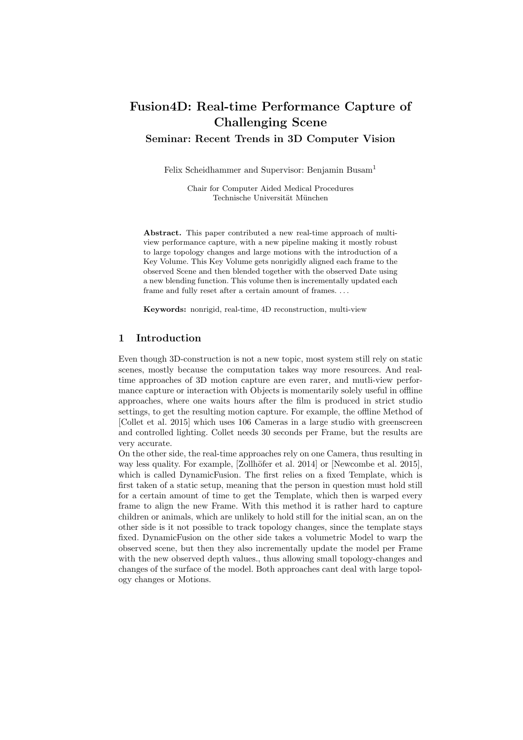# Fusion4D: Real-time Performance Capture of Challenging Scene Seminar: Recent Trends in 3D Computer Vision

Felix Scheidhammer and Supervisor: Benjamin Busam<sup>1</sup>

Chair for Computer Aided Medical Procedures Technische Universität München

Abstract. This paper contributed a new real-time approach of multiview performance capture, with a new pipeline making it mostly robust to large topology changes and large motions with the introduction of a Key Volume. This Key Volume gets nonrigidly aligned each frame to the observed Scene and then blended together with the observed Date using a new blending function. This volume then is incrementally updated each frame and fully reset after a certain amount of frames. . . .

Keywords: nonrigid, real-time, 4D reconstruction, multi-view

# 1 Introduction

Even though 3D-construction is not a new topic, most system still rely on static scenes, mostly because the computation takes way more resources. And realtime approaches of 3D motion capture are even rarer, and mutli-view performance capture or interaction with Objects is momentarily solely useful in offline approaches, where one waits hours after the film is produced in strict studio settings, to get the resulting motion capture. For example, the offline Method of [Collet et al. 2015] which uses 106 Cameras in a large studio with greenscreen and controlled lighting. Collet needs 30 seconds per Frame, but the results are very accurate.

On the other side, the real-time approaches rely on one Camera, thus resulting in way less quality. For example, [Zollhöfer et al. 2014] or [Newcombe et al. 2015], which is called DynamicFusion. The first relies on a fixed Template, which is first taken of a static setup, meaning that the person in question must hold still for a certain amount of time to get the Template, which then is warped every frame to align the new Frame. With this method it is rather hard to capture children or animals, which are unlikely to hold still for the initial scan, an on the other side is it not possible to track topology changes, since the template stays fixed. DynamicFusion on the other side takes a volumetric Model to warp the observed scene, but then they also incrementally update the model per Frame with the new observed depth values., thus allowing small topology-changes and changes of the surface of the model. Both approaches cant deal with large topology changes or Motions.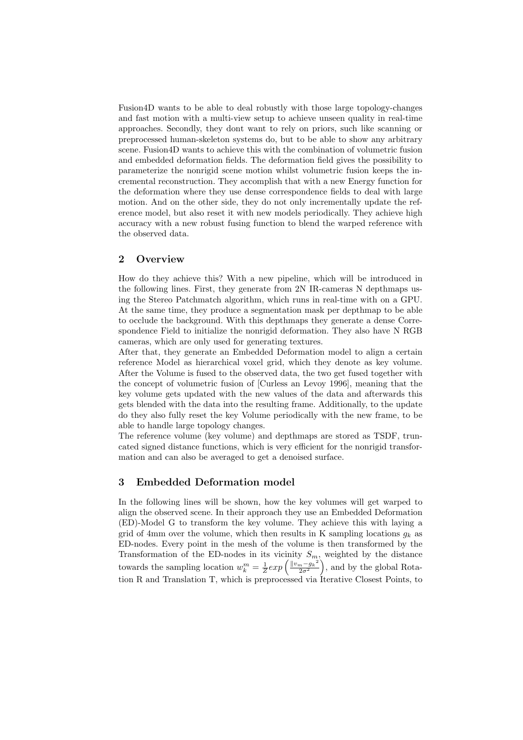Fusion4D wants to be able to deal robustly with those large topology-changes and fast motion with a multi-view setup to achieve unseen quality in real-time approaches. Secondly, they dont want to rely on priors, such like scanning or preprocessed human-skeleton systems do, but to be able to show any arbitrary scene. Fusion4D wants to achieve this with the combination of volumetric fusion and embedded deformation fields. The deformation field gives the possibility to parameterize the nonrigid scene motion whilst volumetric fusion keeps the incremental reconstruction. They accomplish that with a new Energy function for the deformation where they use dense correspondence fields to deal with large motion. And on the other side, they do not only incrementally update the reference model, but also reset it with new models periodically. They achieve high accuracy with a new robust fusing function to blend the warped reference with the observed data.

# 2 Overview

How do they achieve this? With a new pipeline, which will be introduced in the following lines. First, they generate from 2N IR-cameras N depthmaps using the Stereo Patchmatch algorithm, which runs in real-time with on a GPU. At the same time, they produce a segmentation mask per depthmap to be able to occlude the background. With this depthmaps they generate a dense Correspondence Field to initialize the nonrigid deformation. They also have N RGB cameras, which are only used for generating textures.

After that, they generate an Embedded Deformation model to align a certain reference Model as hierarchical voxel grid, which they denote as key volume. After the Volume is fused to the observed data, the two get fused together with the concept of volumetric fusion of [Curless an Levoy 1996], meaning that the key volume gets updated with the new values of the data and afterwards this gets blended with the data into the resulting frame. Additionally, to the update do they also fully reset the key Volume periodically with the new frame, to be able to handle large topology changes.

The reference volume (key volume) and depthmaps are stored as TSDF, truncated signed distance functions, which is very efficient for the nonrigid transformation and can also be averaged to get a denoised surface.

# 3 Embedded Deformation model

In the following lines will be shown, how the key volumes will get warped to align the observed scene. In their approach they use an Embedded Deformation (ED)-Model G to transform the key volume. They achieve this with laying a grid of 4mm over the volume, which then results in K sampling locations  $g_k$  as ED-nodes. Every point in the mesh of the volume is then transformed by the Transformation of the ED-nodes in its vicinity  $S_m$ , weighted by the distance towards the sampling location  $w_k^m = \frac{1}{Z} exp \left( \frac{||v_m - g_k|^2}{2\sigma^2} \right)$  $\frac{n-g_k^2}{2\sigma^2}$ , and by the global Rotation R and Translation T, which is preprocessed via Iterative Closest Points, to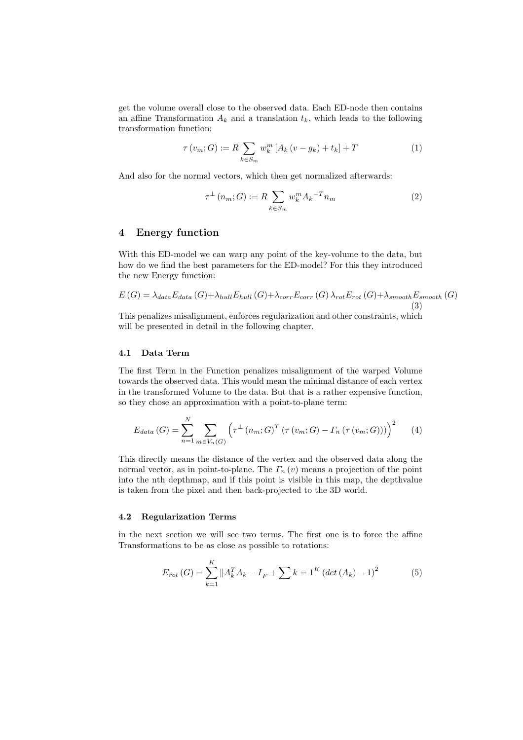get the volume overall close to the observed data. Each ED-node then contains an affine Transformation  $A_k$  and a translation  $t_k$ , which leads to the following transformation function:

$$
\tau(v_m; G) := R \sum_{k \in S_m} w_k^m [A_k (v - g_k) + t_k] + T \tag{1}
$$

And also for the normal vectors, which then get normalized afterwards:

$$
\tau^{\perp}(n_m; G) := R \sum_{k \in S_m} w_k^m {A_k}^{-T} n_m \tag{2}
$$

# 4 Energy function

With this ED-model we can warp any point of the key-volume to the data, but how do we find the best parameters for the ED-model? For this they introduced the new Energy function:

$$
E(G) = \lambda_{data} E_{data}(G) + \lambda_{hull} E_{hull}(G) + \lambda_{corr} E_{corr}(G) \lambda_{rot} E_{rot}(G) + \lambda_{smooth} E_{smooth}(G)
$$
\n(3)

This penalizes misalignment, enforces regularization and other constraints, which will be presented in detail in the following chapter.

# 4.1 Data Term

The first Term in the Function penalizes misalignment of the warped Volume towards the observed data. This would mean the minimal distance of each vertex in the transformed Volume to the data. But that is a rather expensive function, so they chose an approximation with a point-to-plane term:

$$
E_{data}(G) = \sum_{n=1}^{N} \sum_{m \in V_n(G)} \left( \tau^{\perp} (n_m; G)^T (\tau (v_m; G) - \Gamma_n (\tau (v_m; G))) \right)^2 \tag{4}
$$

This directly means the distance of the vertex and the observed data along the normal vector, as in point-to-plane. The  $\Gamma_n(v)$  means a projection of the point into the nth depthmap, and if this point is visible in this map, the depthvalue is taken from the pixel and then back-projected to the 3D world.

#### 4.2 Regularization Terms

in the next section we will see two terms. The first one is to force the affine Transformations to be as close as possible to rotations:

$$
E_{rot}(G) = \sum_{k=1}^{K} ||A_k^T A_k - I_F + \sum k = 1^K \left(\det(A_k) - 1\right)^2 \tag{5}
$$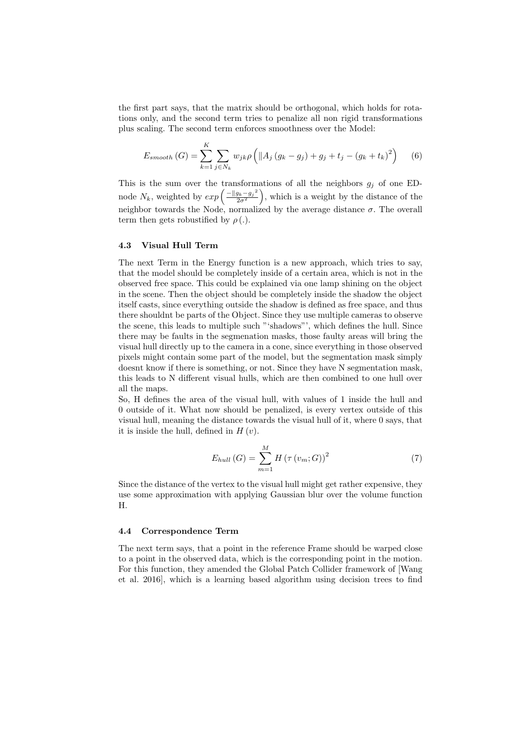the first part says, that the matrix should be orthogonal, which holds for rotations only, and the second term tries to penalize all non rigid transformations plus scaling. The second term enforces smoothness over the Model:

$$
E_{smooth}(G) = \sum_{k=1}^{K} \sum_{j \in N_k} w_{jk} \rho \left( \| A_j (g_k - g_j) + g_j + t_j - (g_k + t_k)^2 \right) \tag{6}
$$

This is the sum over the transformations of all the neighbors  $g_j$  of one EDnode  $N_k$ , weighted by  $exp\left(\frac{-\|g_k-g_j\|^2}{2\sigma^2}\right)$  $\left(\frac{g_k - g_j^2}{2\sigma^2}\right)$ , which is a weight by the distance of the neighbor towards the Node, normalized by the average distance  $\sigma$ . The overall term then gets robustified by  $\rho(.)$ .

#### 4.3 Visual Hull Term

The next Term in the Energy function is a new approach, which tries to say, that the model should be completely inside of a certain area, which is not in the observed free space. This could be explained via one lamp shining on the object in the scene. Then the object should be completely inside the shadow the object itself casts, since everything outside the shadow is defined as free space, and thus there shouldnt be parts of the Object. Since they use multiple cameras to observe the scene, this leads to multiple such "'shadows"', which defines the hull. Since there may be faults in the segmenation masks, those faulty areas will bring the visual hull directly up to the camera in a cone, since everything in those observed pixels might contain some part of the model, but the segmentation mask simply doesnt know if there is something, or not. Since they have N segmentation mask, this leads to N different visual hulls, which are then combined to one hull over all the maps.

So, H defines the area of the visual hull, with values of 1 inside the hull and 0 outside of it. What now should be penalized, is every vertex outside of this visual hull, meaning the distance towards the visual hull of it, where 0 says, that it is inside the hull, defined in  $H(v)$ .

$$
E_{hull}(G) = \sum_{m=1}^{M} H(\tau(v_m; G))^2
$$
\n(7)

Since the distance of the vertex to the visual hull might get rather expensive, they use some approximation with applying Gaussian blur over the volume function H.

#### 4.4 Correspondence Term

The next term says, that a point in the reference Frame should be warped close to a point in the observed data, which is the corresponding point in the motion. For this function, they amended the Global Patch Collider framework of [Wang et al. 2016], which is a learning based algorithm using decision trees to find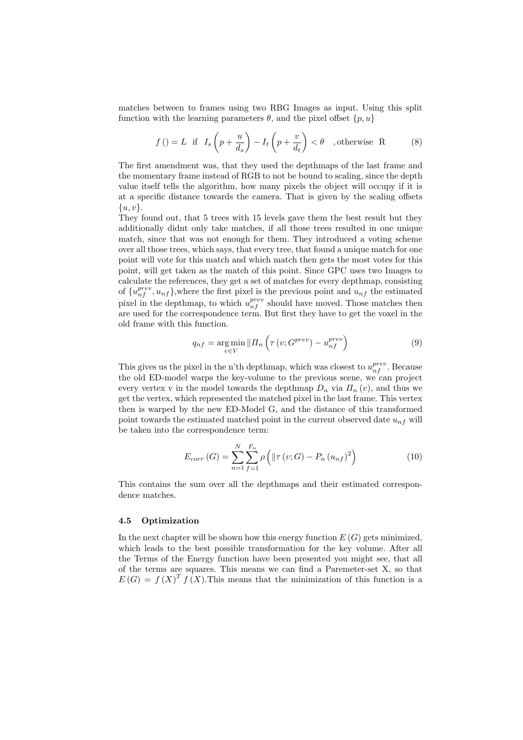matches between to frames using two RBG Images as input. Using this split function with the learning parameters  $\theta$ , and the pixel offset  $\{p, u\}$ 

$$
f\left(\right) = L \quad \text{if} \quad I_s\left(p + \frac{u}{d_s}\right) - I_t\left(p + \frac{v}{d_t}\right) < \theta \quad \text{, otherwise} \quad \text{R} \tag{8}
$$

The first amendment was, that they used the depthmaps of the last frame and the momentary frame instead of RGB to not be bound to scaling, since the depth value itself tells the algorithm, how many pixels the object will occupy if it is at a specific distance towards the camera. That is given by the scaling offsets  $\{u, v\}.$ 

They found out, that 5 trees with 15 levels gave them the best result but they additionally didnt only take matches, if all those trees resulted in one unique match, since that was not enough for them. They introduced a voting scheme over all those trees, which says, that every tree, that found a unique match for one point will vote for this match and which match then gets the most votes for this point, will get taken as the match of this point. Since GPC uses two Images to calculate the references, they get a set of matches for every depthmap, consisting of  $\{u_{nf}^{prev}, u_{nf}\}$ , where the first pixel is the previous point and  $u_{nf}$  the estimated pixel in the depthmap, to which  $u_{nf}^{prev}$  should have moved. Those matches then are used for the correspondence term. But first they have to get the voxel in the old frame with this function.

$$
q_{nf} = \underset{v \in V}{\arg\min} ||H_n\left(\tau\left(v;G^{prev}\right) - u_{nf}^{prev}\right) \tag{9}
$$

This gives us the pixel in the n'th depthmap, which was closest to  $u_{nf}^{prev}$ . Because the old ED-model warps the key-volume to the previous scene, we can project every vertex v in the model towards the depthmap  $D_n$  via  $\Pi_n(v)$ , and thus we get the vertex, which represented the matched pixel in the last frame. This vertex then is warped by the new ED-Model G, and the distance of this transformed point towards the estimated matched point in the current observed date  $u_{nf}$  will be taken into the correspondence term:

$$
E_{corr}(G) = \sum_{n=1}^{N} \sum_{f=1}^{F_n} \rho \left( \left\| \tau(v;G) - P_n(u_{nf})^2 \right) \right)
$$
 (10)

This contains the sum over all the depthmaps and their estimated correspondence matches.

#### 4.5 Optimization

In the next chapter will be shown how this energy function  $E(G)$  gets minimized. which leads to the best possible transformation for the key volume. After all the Terms of the Energy function have been presented you might see, that all of the terms are squares. This means we can find a Paremeter-set X, so that  $E(G) = f(X)^T f(X)$ . This means that the minimization of this function is a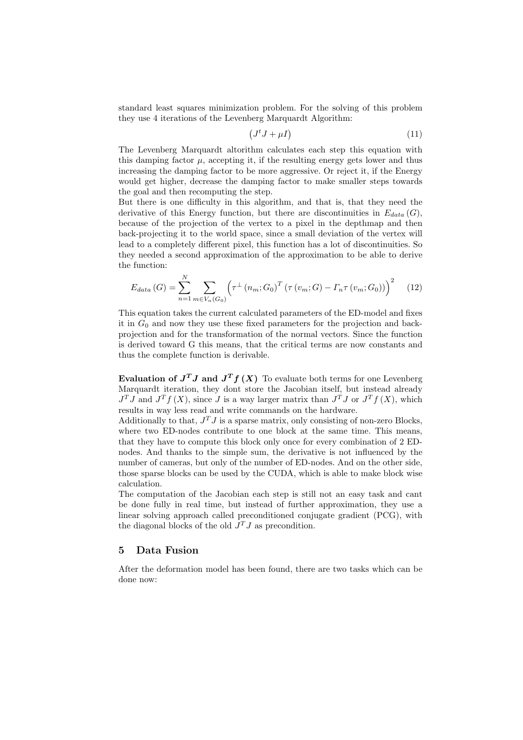standard least squares minimization problem. For the solving of this problem they use 4 iterations of the Levenberg Marquardt Algorithm:

$$
(J^t J + \mu I) \tag{11}
$$

The Levenberg Marquardt altorithm calculates each step this equation with this damping factor  $\mu$ , accepting it, if the resulting energy gets lower and thus increasing the damping factor to be more aggressive. Or reject it, if the Energy would get higher, decrease the damping factor to make smaller steps towards the goal and then recomputing the step.

But there is one difficulty in this algorithm, and that is, that they need the derivative of this Energy function, but there are discontinuities in  $E_{data}(G)$ , because of the projection of the vertex to a pixel in the depthmap and then back-projecting it to the world space, since a small deviation of the vertex will lead to a completely different pixel, this function has a lot of discontinuities. So they needed a second approximation of the approximation to be able to derive the function:

$$
E_{data}(G) = \sum_{n=1}^{N} \sum_{m \in V_n(G_0)} \left( \tau^{\perp} \left( n_m; G_0 \right)^T \left( \tau \left( v_m; G \right) - \Gamma_n \tau \left( v_m; G_0 \right) \right) \right)^2 \tag{12}
$$

This equation takes the current calculated parameters of the ED-model and fixes it in  $G_0$  and now they use these fixed parameters for the projection and backprojection and for the transformation of the normal vectors. Since the function is derived toward G this means, that the critical terms are now constants and thus the complete function is derivable.

Evaluation of  $J^TJ$  and  $J^Tf(X)$  To evaluate both terms for one Levenberg Marquardt iteration, they dont store the Jacobian itself, but instead already  $J^TJ$  and  $J^Tf(X)$ , since J is a way larger matrix than  $J^TJ$  or  $J^Tf(X)$ , which results in way less read and write commands on the hardware.

Additionally to that,  $J^T J$  is a sparse matrix, only consisting of non-zero Blocks, where two ED-nodes contribute to one block at the same time. This means, that they have to compute this block only once for every combination of 2 EDnodes. And thanks to the simple sum, the derivative is not influenced by the number of cameras, but only of the number of ED-nodes. And on the other side, those sparse blocks can be used by the CUDA, which is able to make block wise calculation.

The computation of the Jacobian each step is still not an easy task and cant be done fully in real time, but instead of further approximation, they use a linear solving approach called preconditioned conjugate gradient (PCG), with the diagonal blocks of the old  $J^TJ$  as precondition.

# 5 Data Fusion

After the deformation model has been found, there are two tasks which can be done now: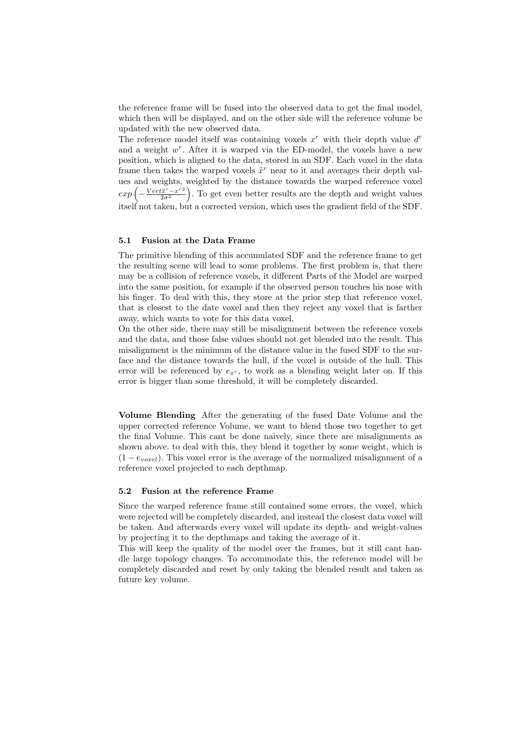the reference frame will be fused into the observed data to get the final model, which then will be displayed, and on the other side will the reference volume be updated with the new observed data.

The reference model itself was containing voxels  $x^r$  with their depth value  $d^r$ and a weight  $w^r$ . After it is warped via the ED-model, the voxels have a new position, which is aligned to the data, stored in an SDF. Each voxel in the data frame then takes the warped voxels  $\tilde{x}^r$  near to it and averages their depth values and weights, weighted by the distance towards the warped reference voxel  $exp\left(-\frac{Vert\tilde{x}^{r}-x^{r}^{2}}{2\sigma^{2}}\right)$  $\left(\frac{2\tilde{x}^{r}-x^{r^{2}}}{2\sigma^{2}}\right)$ . To get even better results are the depth and weight values itself not taken, but a corrected version, which uses the gradient field of the SDF.

#### 5.1 Fusion at the Data Frame

The primitive blending of this accumulated SDF and the reference frame to get the resulting scene will lead to some problems. The first problem is, that there may be a collision of reference voxels, it different Parts of the Model are warped into the same position, for example if the observed person touches his nose with his finger. To deal with this, they store at the prior step that reference voxel, that is closest to the date voxel and then they reject any voxel that is farther away, which wants to vote for this data voxel.

On the other side, there may still be misalignment between the reference voxels and the data, and those false values should not get blended into the result. This misalignment is the minimum of the distance value in the fused SDF to the surface and the distance towards the hull, if the voxel is outside of the hull. This error will be referenced by  $e_{x^r}$ , to work as a blending weight later on. If this error is bigger than some threshold, it will be completely discarded.

Volume Blending After the generating of the fused Date Volume and the upper corrected reference Volume, we want to blend those two together to get the final Volume. This cant be done naively, since there are misalignments as shown above. to deal with this, they blend it together by some weight, which is  $(1-e_{word})$ . This voxel error is the average of the normalized misalignment of a reference voxel projected to each depthmap.

#### 5.2 Fusion at the reference Frame

Since the warped reference frame still contained some errors, the voxel, which were rejected will be completely discarded, and instead the closest data voxel will be taken. And afterwards every voxel will update its depth- and weight-values by projecting it to the depthmaps and taking the average of it.

This will keep the quality of the model over the frames, but it still cant handle large topology changes. To accommodate this, the reference model will be completely discarded and reset by only taking the blended result and taken as future key volume.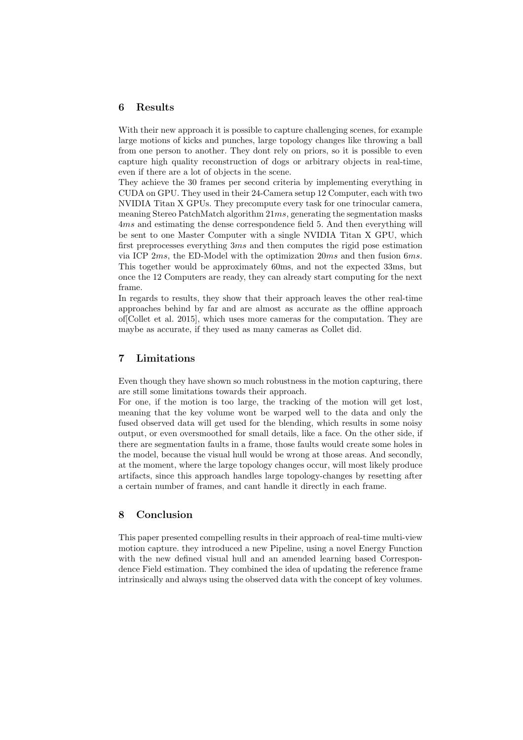# 6 Results

With their new approach it is possible to capture challenging scenes, for example large motions of kicks and punches, large topology changes like throwing a ball from one person to another. They dont rely on priors, so it is possible to even capture high quality reconstruction of dogs or arbitrary objects in real-time, even if there are a lot of objects in the scene.

They achieve the 30 frames per second criteria by implementing everything in CUDA on GPU. They used in their 24-Camera setup 12 Computer, each with two NVIDIA Titan X GPUs. They precompute every task for one trinocular camera, meaning Stereo PatchMatch algorithm  $21ms$ , generating the segmentation masks 4ms and estimating the dense correspondence field 5. And then everything will be sent to one Master Computer with a single NVIDIA Titan X GPU, which first preprocesses everything 3ms and then computes the rigid pose estimation via ICP 2ms, the ED-Model with the optimization 20ms and then fusion 6ms. This together would be approximately 60ms, and not the expected 33ms, but once the 12 Computers are ready, they can already start computing for the next frame.

In regards to results, they show that their approach leaves the other real-time approaches behind by far and are almost as accurate as the offline approach of[Collet et al. 2015], which uses more cameras for the computation. They are maybe as accurate, if they used as many cameras as Collet did.

# 7 Limitations

Even though they have shown so much robustness in the motion capturing, there are still some limitations towards their approach.

For one, if the motion is too large, the tracking of the motion will get lost, meaning that the key volume wont be warped well to the data and only the fused observed data will get used for the blending, which results in some noisy output, or even oversmoothed for small details, like a face. On the other side, if there are segmentation faults in a frame, those faults would create some holes in the model, because the visual hull would be wrong at those areas. And secondly, at the moment, where the large topology changes occur, will most likely produce artifacts, since this approach handles large topology-changes by resetting after a certain number of frames, and cant handle it directly in each frame.

# 8 Conclusion

This paper presented compelling results in their approach of real-time multi-view motion capture. they introduced a new Pipeline, using a novel Energy Function with the new defined visual hull and an amended learning based Correspondence Field estimation. They combined the idea of updating the reference frame intrinsically and always using the observed data with the concept of key volumes.